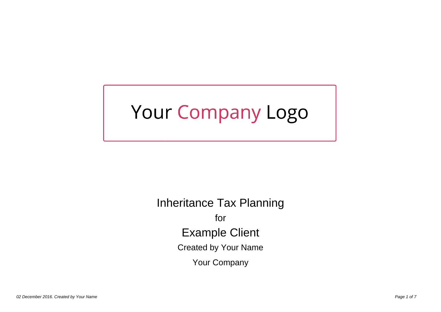# Your Company Logo

Inheritance Tax Planning for Example Client Created by Your Name Your Company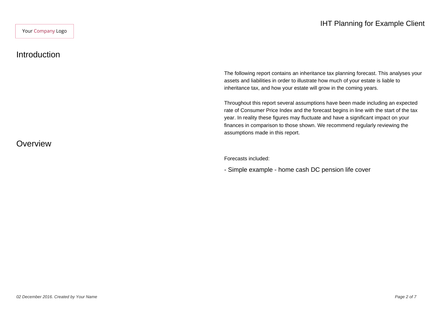#### Introduction

**Overview** 

The following report contains an inheritance tax planning forecast. This analyses your assets and liabilities in order to illustrate how much of your estate is liable to inheritance tax, and how your estate will grow in the coming years.

Throughout this report several assumptions have been made including an expected rate of Consumer Price Index and the forecast begins in line with the start of the tax year. In reality these figures may fluctuate and have a significant impact on your finances in comparison to those shown. We recommend regularly reviewing the assumptions made in this report.

Forecasts included:

- Simple example - home cash DC pension life cover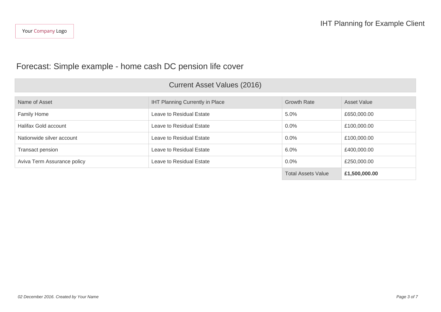## Forecast: Simple example - home cash DC pension life cover

## Current Asset Values (2016)

| Name of Asset               | <b>IHT Planning Currently in Place</b> | <b>Growth Rate</b>        | <b>Asset Value</b> |
|-----------------------------|----------------------------------------|---------------------------|--------------------|
| <b>Family Home</b>          | Leave to Residual Estate               | 5.0%                      | £650,000.00        |
| Halifax Gold account        | Leave to Residual Estate               | $0.0\%$                   | £100,000.00        |
| Nationwide silver account   | Leave to Residual Estate               | $0.0\%$                   | £100,000.00        |
| Transact pension            | Leave to Residual Estate               | 6.0%                      | £400,000.00        |
| Aviva Term Assurance policy | Leave to Residual Estate               | $0.0\%$                   | £250,000.00        |
|                             |                                        | <b>Total Assets Value</b> | £1,500,000.00      |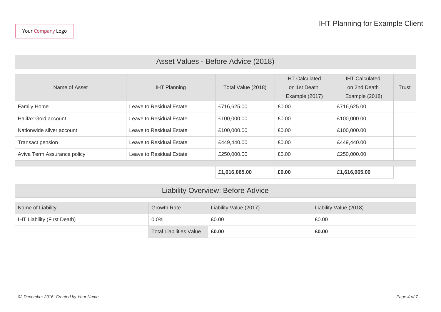# Asset Values - Before Advice (2018)

| Name of Asset               | <b>IHT Planning</b>      | Total Value (2018) | <b>IHT Calculated</b><br>on 1st Death<br>Example (2017) | <b>IHT Calculated</b><br>on 2nd Death<br>Example (2018) | Trust |
|-----------------------------|--------------------------|--------------------|---------------------------------------------------------|---------------------------------------------------------|-------|
|                             |                          |                    |                                                         |                                                         |       |
| Family Home                 | Leave to Residual Estate | £716,625.00        | £0.00                                                   | £716,625.00                                             |       |
| Halifax Gold account        | Leave to Residual Estate | £100,000.00        | £0.00                                                   | £100,000.00                                             |       |
| Nationwide silver account   | Leave to Residual Estate | £100,000.00        | £0.00                                                   | £100,000.00                                             |       |
| Transact pension            | Leave to Residual Estate | £449,440.00        | £0.00                                                   | £449,440.00                                             |       |
| Aviva Term Assurance policy | Leave to Residual Estate | £250,000.00        | £0.00                                                   | £250,000.00                                             |       |
|                             |                          |                    |                                                         |                                                         |       |
|                             |                          | £1,616,065.00      | £0.00                                                   | £1,616,065.00                                           |       |

# Liability Overview: Before Advice

| Name of Liability                  | Growth Rate                    | Liability Value (2017) | Liability Value (2018) |
|------------------------------------|--------------------------------|------------------------|------------------------|
| <b>IHT Liability (First Death)</b> | 0.0%                           | £0.00                  | £0.00                  |
|                                    | <b>Total Liabilities Value</b> | £0.00                  | £0.00                  |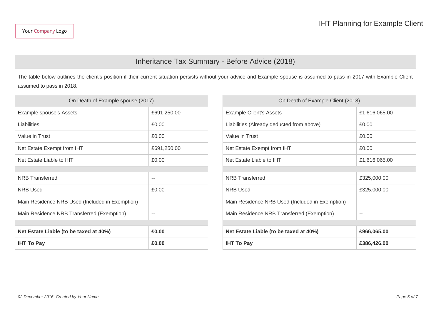### Inheritance Tax Summary - Before Advice (2018)

The table below outlines the client's position if their current situation persists without your advice and Example spouse is assumed to pass in 2017 with Example Client assumed to pass in 2018.

| On Death of Example spouse (2017) |                                                 | On Death of Example Client (2018) |  |
|-----------------------------------|-------------------------------------------------|-----------------------------------|--|
| £691,250.00                       | <b>Example Client's Assets</b>                  | £1,616,065.00                     |  |
| £0.00                             | Liabilities (Already deducted from above)       | £0.00                             |  |
| £0.00                             | Value in Trust                                  | £0.00                             |  |
| £691,250.00                       | Net Estate Exempt from IHT                      | £0.00                             |  |
| £0.00                             | Net Estate Liable to IHT                        | £1,616,065.00                     |  |
|                                   |                                                 |                                   |  |
| $\sim$ $-$                        | <b>NRB</b> Transferred                          | £325,000.00                       |  |
| £0.00                             | <b>NRB Used</b>                                 | £325,000.00                       |  |
| $\sim$ $-$                        | Main Residence NRB Used (Included in Exemption) | $\sim$                            |  |
| $\sim$ $-$                        | Main Residence NRB Transferred (Exemption)      | $\sim$                            |  |
|                                   |                                                 |                                   |  |
| £0.00                             | Net Estate Liable (to be taxed at 40%)          | £966,065.00                       |  |
| £0.00                             | <b>IHT To Pay</b>                               | £386,426.00                       |  |
|                                   |                                                 |                                   |  |

| On Death of Example Client (2018)               |               |  |  |
|-------------------------------------------------|---------------|--|--|
| <b>Example Client's Assets</b>                  | £1,616,065.00 |  |  |
| Liabilities (Already deducted from above)       | £0.00         |  |  |
| Value in Trust                                  | £0.00         |  |  |
| Net Estate Exempt from IHT                      | £0.00         |  |  |
| Net Estate Liable to IHT                        | £1,616,065.00 |  |  |
|                                                 |               |  |  |
| <b>NRB</b> Transferred                          | £325,000.00   |  |  |
| <b>NRB Used</b>                                 | £325,000.00   |  |  |
| Main Residence NRB Used (Included in Exemption) |               |  |  |
| Main Residence NRB Transferred (Exemption)      |               |  |  |
|                                                 |               |  |  |
| Net Estate Liable (to be taxed at 40%)          | £966,065.00   |  |  |
| <b>IHT To Pay</b>                               | £386,426.00   |  |  |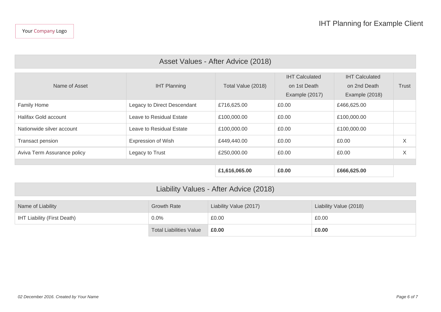| Asset Values - After Advice (2018) |                             |                    |                                                         |                                                         |       |
|------------------------------------|-----------------------------|--------------------|---------------------------------------------------------|---------------------------------------------------------|-------|
| Name of Asset                      | <b>IHT Planning</b>         | Total Value (2018) | <b>IHT Calculated</b><br>on 1st Death<br>Example (2017) | <b>IHT Calculated</b><br>on 2nd Death<br>Example (2018) | Trust |
| <b>Family Home</b>                 | Legacy to Direct Descendant | £716,625.00        | £0.00                                                   | £466,625.00                                             |       |
| Halifax Gold account               | Leave to Residual Estate    | £100,000.00        | £0.00                                                   | £100,000.00                                             |       |
| Nationwide silver account          | Leave to Residual Estate    | £100,000.00        | £0.00                                                   | £100,000.00                                             |       |
| Transact pension                   | <b>Expression of Wish</b>   | £449,440.00        | £0.00                                                   | £0.00                                                   | X     |
| Aviva Term Assurance policy        | Legacy to Trust             | £250,000.00        | £0.00                                                   | £0.00                                                   | X     |
|                                    |                             |                    |                                                         |                                                         |       |
|                                    |                             | £1,616,065.00      | £0.00                                                   | £666,625.00                                             |       |
|                                    |                             |                    |                                                         |                                                         |       |

| Liability Values - After Advice (2018)                                               |                                |       |       |  |  |
|--------------------------------------------------------------------------------------|--------------------------------|-------|-------|--|--|
| Liability Value (2018)<br>Liability Value (2017)<br>Growth Rate<br>Name of Liability |                                |       |       |  |  |
| <b>IHT Liability (First Death)</b>                                                   | $0.0\%$                        | £0.00 | £0.00 |  |  |
|                                                                                      | <b>Total Liabilities Value</b> | £0.00 | £0.00 |  |  |